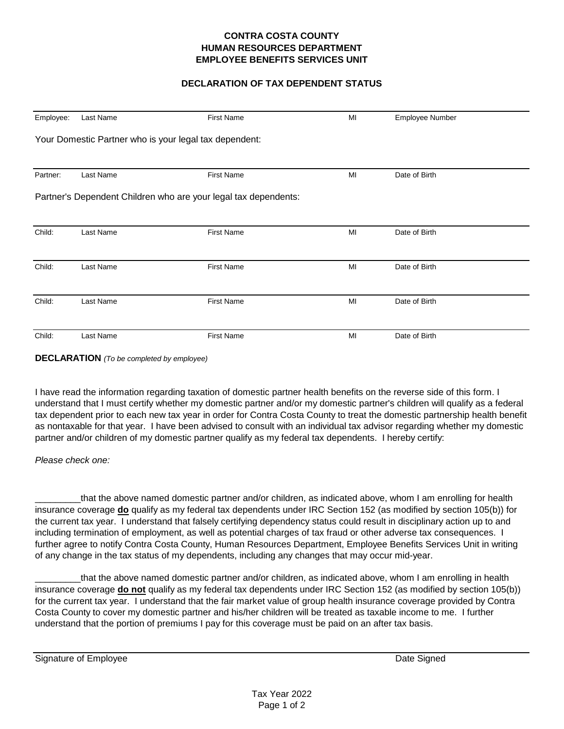## **CONTRA COSTA COUNTY HUMAN RESOURCES DEPARTMENT EMPLOYEE BENEFITS SERVICES UNIT**

# **DECLARATION OF TAX DEPENDENT STATUS**

| Employee: | Last Name | <b>First Name</b>                                               | MI | Employee Number |  |
|-----------|-----------|-----------------------------------------------------------------|----|-----------------|--|
|           |           | Your Domestic Partner who is your legal tax dependent:          |    |                 |  |
| Partner:  | Last Name | <b>First Name</b>                                               | MI | Date of Birth   |  |
|           |           | Partner's Dependent Children who are your legal tax dependents: |    |                 |  |
| Child:    | Last Name | <b>First Name</b>                                               | MI | Date of Birth   |  |
| Child:    | Last Name | <b>First Name</b>                                               | MI | Date of Birth   |  |
| Child:    | Last Name | <b>First Name</b>                                               | MI | Date of Birth   |  |
| Child:    | Last Name | <b>First Name</b>                                               | MI | Date of Birth   |  |

**DECLARATION** *(To be completed by employee)*

I have read the information regarding taxation of domestic partner health benefits on the reverse side of this form. I understand that I must certify whether my domestic partner and/or my domestic partner's children will qualify as a federal tax dependent prior to each new tax year in order for Contra Costa County to treat the domestic partnership health benefit as nontaxable for that year. I have been advised to consult with an individual tax advisor regarding whether my domestic partner and/or children of my domestic partner qualify as my federal tax dependents. I hereby certify:

### *Please check one:*

that the above named domestic partner and/or children, as indicated above, whom I am enrolling for health insurance coverage **do** qualify as my federal tax dependents under IRC Section 152 (as modified by section 105(b)) for the current tax year. I understand that falsely certifying dependency status could result in disciplinary action up to and including termination of employment, as well as potential charges of tax fraud or other adverse tax consequences. I further agree to notify Contra Costa County, Human Resources Department, Employee Benefits Services Unit in writing of any change in the tax status of my dependents, including any changes that may occur mid-year.

\_\_\_\_\_\_\_\_\_that the above named domestic partner and/or children, as indicated above, whom I am enrolling in health insurance coverage **do not** qualify as my federal tax dependents under IRC Section 152 (as modified by section 105(b)) for the current tax year. I understand that the fair market value of group health insurance coverage provided by Contra Costa County to cover my domestic partner and his/her children will be treated as taxable income to me. I further understand that the portion of premiums I pay for this coverage must be paid on an after tax basis.